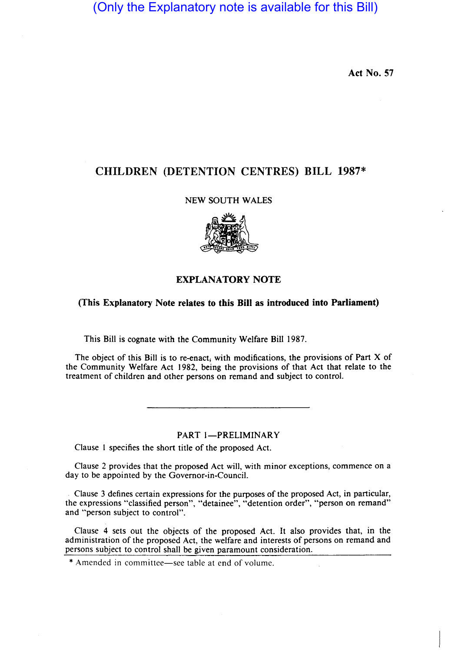(Only the Explanatory note is available for this Bill)

Act No. 57

# CHILDREN (DETENTION CENTRES) BILL 1987\*

# NEW SOUTH WALES



# EXPLANATORY NOTE

# (This Explanatory Note relates to this Bill as introduced into Parliament)

This Bill is cognate with the Community Welfare Bill 1987.

The object of this Bill is to re-enact, with modifications, the provisions of Part X of the Community Welfare Act 1982, being the provisions of that Act that relate to the treatment of children and other persons on remand and subject to control.

# PART I-PRELIMINARY

Clause I specifies the short title of the proposed Act.

Clause 2 provides that the proposed Act will, with minor exceptions, commence on a day to be appointed by the Governor-in-Council.

Clause 3 defines certain expressions for the purposes of the proposed Act, in particular, the expressions "classified person", "detainee", "detention order", "person on remand" and "person subject to control".

Clause 4 sets out the objects of the proposed Act. It also provides that, in the administration of the proposed Act, the welfare and interests of persons on remand and persons subject to control shall be given paramount consideration.

\* Amended in committee-see table at end of volume.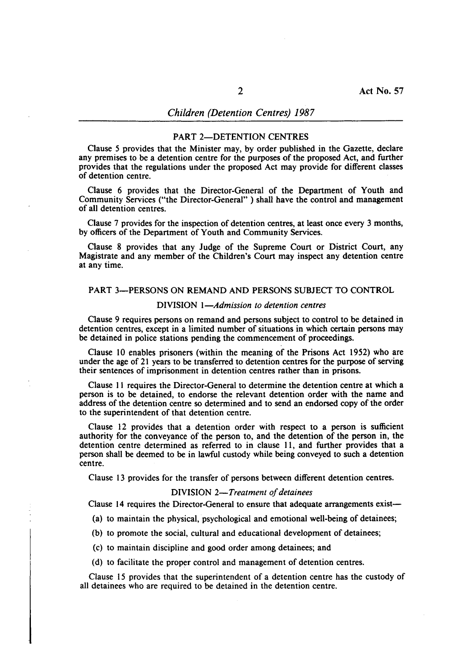#### PART 2-DETENTION CENTRES

Clause 5 provides that the Minister may, by order published in the Gazette, declare any premises to be a detention centre for the purposes of the proposed Act, and further provides that the regulations under the proposed Act may provide for different classes of detention centre.

Clause 6 provides that the Director-General of the Department of Youth and Community Services ("the Director-General" ) shall have the control and management of all detention centres.

Clause 7 provides for the inspection of detention centres, at least once every 3 months, by officers of the Department of Youth and Community Services.

Clause 8 provides that any Judge of the Supreme Court or District Court, any Magistrate and any member of the Children's Court may inspect any detention centre at any iime.

# PART 3-PERSONS ON REMAND AND PERSONS SUBJECT TO CONTROL

## DIVISION *I-Admission to detention centres*

Clause 9 requires persons on remand and persons subject to control to be detained in detention centres, except in a limited number of situations in which certain persons may be detained in police stations pending the commencement of proceedings.

Clause 10 enables prisoners (within the meaning of the Prisons Act 1952) who are under the age of 21 years to be transferred to detention centres for the purpose of serving their sentences of imprisonment in detention centres rather than in prisons.

Clause 11 requires the Director-General to determine the detention centre at which a person is to be detained, to endorse the relevant detention order with the name and address of the detention centre so determined and to send an endorsed copy of the order to the superintendent of that detention centre.

Clause 12 provides that a detention order with respect to a person is sufficient authority for the conveyance of the person to, and the detention of the person in, the detention centre determined as referred to in clause 11, and further provides that a person shall be deemed to be in lawful custody while being conveyed to such a detention centre.

Clause 13 provides for the transfer of persons between different detention centres.

# DIVISION *2-Treatment of detainees*

Clause 14 requires the Director-General to ensure that adequate arrangements exist-

(a) to maintain the physical, psychological and emotional well-being of detainees;

(b) to promote the social, cultural and educational development of detainees;

(c) to maintain discipline and good order among detainees; and

(d) to facilitate the proper control and management of detention centres.

Clause 15 provides that the superintendent of a detention centre has the custody of all detainees who are required to be detained in the detention centre.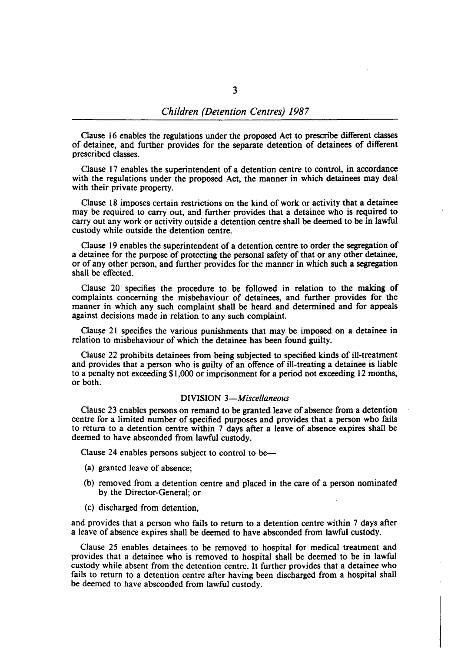Clause 16 enables the regulations under the proposed Act to prescribe different classes of detainee, and further provides for the separate detention of detainees of different prescribed classes.

Clause 17 enables the superintendent of a detention centre to control, in accordance with the regulations under the proposed Act, the manner in which detainees may deal with their private property.

Clause 18 imposes certain restrictions on the kind of work ar activity that a detainee may be required to carry out, and further provides that a detainee who is required to carry out any work or activity outside a detention centre shall be deemed to be in lawful custody while outside the detention centre.

Clause 19 enables the superintendent of a detention centre to order the segregation of a detainee for the purpose of protecting the personal safety of that or any other detainee, or of any other person, and further provides for the manner in which such a segregation shall be effected.

Clause 20 specifies the procedure to be followed in relation to the making of complaints concerning the misbehaviour of detainees, and further provides for the manner in which any such complaint shall be heard and determined and for appeals against decisions made in relation to any such complaint.

Clause 21 specifies the various punishments that may be imposed on a detainee in relation to misbehaviour of which the detainee has been found guilty.

Clause 22 prohibits detainees from being subjected to specified kinds of ill-treatment and provides that a person who is guilty of an offence of ill-treating a detainee is liable to a penalty not exceeding \$1,000 or imprisonment for a period not exceeding 12 months, or both.

#### DIVISION *3-Miscel/aneous*

Clause 23 enables persons on remand to be granted leave of absence from a detention centre for a limited number of specified purposes and provides that a person who fails to return to a detention centre within 7 days after a leave of absence expires shall be deemed to have absconded from lawful custody.

Clause 24 enables persons subject to control to be-

- (a) granted leave of absence;
- (b) removed from a detention centre and placed in the care of a person nominated by the Director-General; or
- (c) discharged from detention,

and provides that a person who fails to return to a detention centre within 7 days after a leave of absence expires shall be deemed to have absconded from lawful custody.

Clause 25 enables detainees to be removed to hospital for medical treatment and provides that a detainee who is removed to hospital shall be deemed to be in lawful custody while absent from the detention centre. It further provides that a detainee who fails to return to a detention centre after having been discharged from a hospital shall be deemed to have absconded from lawful custody.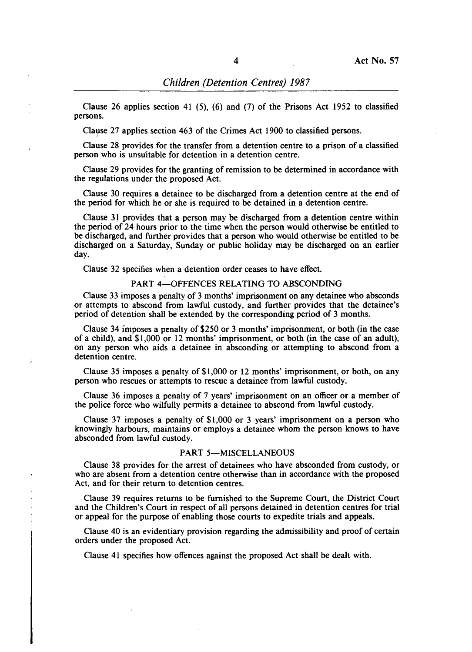Clause 26 applies section 41 (5), (6) and (7) of the Prisons Act 1952 to classified persons.

Clause 27 applies section 463 of the Crimes Act 1900 to classified persons.

Clause 28 provides for the transfer from a detention centre to a prison of a classified person who is unsuitable for detention in a detention centre.

Clause 29 provides for the granting of remission to be determined in accordance with the regulations under the proposed Act.

Clause 30 requires a detainee to be discharged from a detention centre at the end of the period for which he or she is required to be detained in a detention centre.

Clause 31 provides that a person may be discharged from a detention centre within the period of 24 hours prior to the time when the person would otherwise be entitled to be discharged, and further provides that a person who would otherwise be entitled to be discharged on a Saturday, Sunday or public holiday may be discharged on an earlier day.

Clause 32 specifies when a detention order ceases to have effect.

### PART 4-OFFENCES RELATING TO ABSCONDING

Clause 33 imposes a penalty of 3 months' imprisonment on any detainee who absconds or attempts to abscond from lawful custody, and further provides that the detainee's period of detention shall be extended by the corresponding period of 3 months.

Clause 34 imposes a penalty of \$250 or 3 months' imprisonment, or both (in the case of a child), and \$1,000 or 12 months' imprisonment, or both (in the case of an adult), on any person who aids a detainee in absconding or attempting to abscond from a detention centre.

Clause 35 imposes a penalty of \$1,000 or 12 months' imprisonment, or both, on any person who rescues or attempts to rescue a detainee from lawful custody.

Clause 36 imposes a penalty of 7 years' imprisonment on an officer or a member of the police force who wilfully permits a detainee to abscond from lawful custody.

Clause 37 imposes a penalty of \$1,000 or 3 years' imprisonment on a person who knowingly harbours, maintains or employs a detainee whom the person knows to have absconded from lawful custody.

### PART 5-MISCELLANEOUS

Clause 38 provides for the arrest of detainees who have absconded from custody, or who are absent from a detention centre otherwise than in accordance with the proposed Act, and for their return to detention centres.

Clause 39 requires returns to be furnished to the Supreme Court, the District Court and the Children's Court in respect of all persons detained in detention centres for trial or appeal for the purpose of enabling those courts to expedite trials and appeals.

Clause 40 is an evidentiary provision regarding the admissibility and proof of certain orders under the proposed Act.

Clause 41 specifies how offences against the proposed Act shall be dealt with.